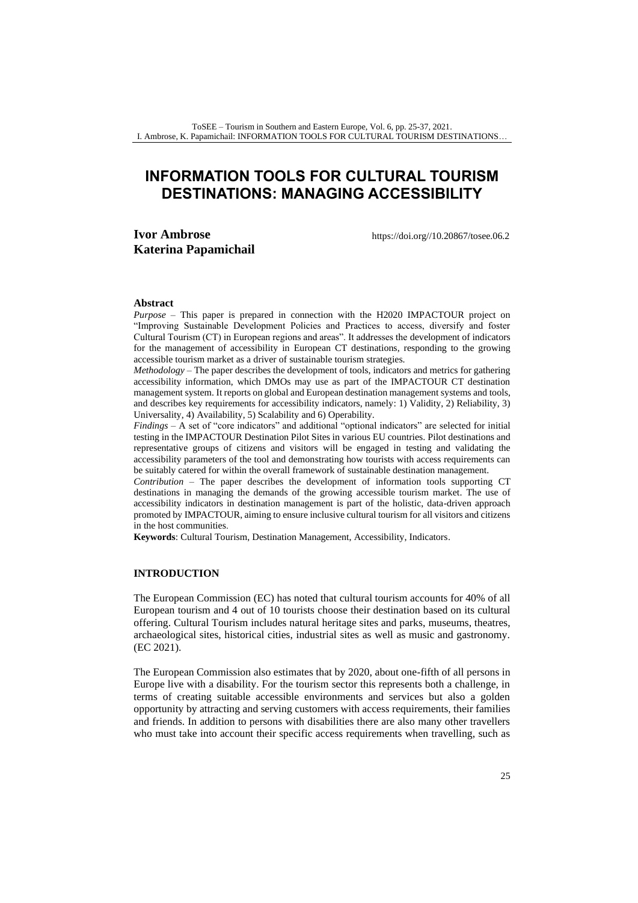# **INFORMATION TOOLS FOR CULTURAL TOURISM DESTINATIONS: MANAGING ACCESSIBILITY**

# **Ivor Ambrose Katerina Papamichail**

[https://doi.org//10.20867/tosee.06.2](https://doi.org/10.20867/tosee.06.2)

#### **Abstract**

*Purpose* – This paper is prepared in connection with the H2020 IMPACTOUR project on "Improving Sustainable Development Policies and Practices to access, diversify and foster Cultural Tourism (CT) in European regions and areas". It addresses the development of indicators for the management of accessibility in European CT destinations, responding to the growing accessible tourism market as a driver of sustainable tourism strategies.

*Methodology* – The paper describes the development of tools, indicators and metrics for gathering accessibility information, which DMOs may use as part of the IMPACTOUR CT destination management system. It reports on global and European destination management systems and tools, and describes key requirements for accessibility indicators, namely: 1) Validity, 2) Reliability, 3) Universality, 4) Availability, 5) Scalability and 6) Operability.

*Findings* – A set of "core indicators" and additional "optional indicators" are selected for initial testing in the IMPACTOUR Destination Pilot Sites in various EU countries. Pilot destinations and representative groups of citizens and visitors will be engaged in testing and validating the accessibility parameters of the tool and demonstrating how tourists with access requirements can be suitably catered for within the overall framework of sustainable destination management.

*Contribution* – The paper describes the development of information tools supporting CT destinations in managing the demands of the growing accessible tourism market. The use of accessibility indicators in destination management is part of the holistic, data-driven approach promoted by IMPACTOUR, aiming to ensure inclusive cultural tourism for all visitors and citizens in the host communities.

**Keywords**: Cultural Tourism, Destination Management, Accessibility, Indicators.

#### **INTRODUCTION**

The European Commission (EC) has noted that cultural tourism accounts for 40% of all European tourism and 4 out of 10 tourists choose their destination based on its cultural offering. Cultural Tourism includes natural heritage sites and parks, museums, theatres, archaeological sites, historical cities, industrial sites as well as music and gastronomy. (EC 2021).

The European Commission also estimates that by 2020, about one-fifth of all persons in Europe live with a disability. For the tourism sector this represents both a challenge, in terms of creating suitable accessible environments and services but also a golden opportunity by attracting and serving customers with access requirements, their families and friends. In addition to persons with disabilities there are also many other travellers who must take into account their specific access requirements when travelling, such as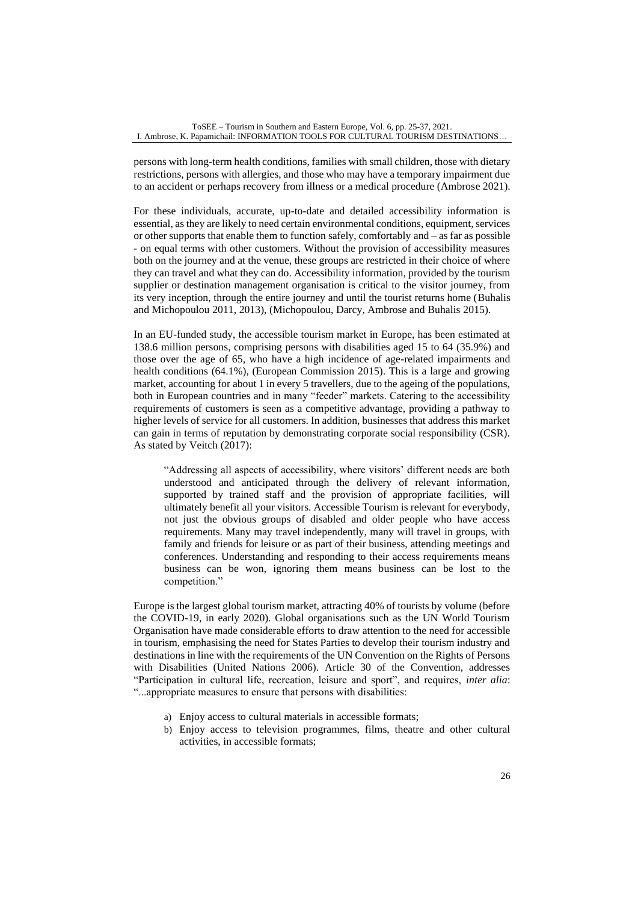persons with long-term health conditions, families with small children, those with dietary restrictions, persons with allergies, and those who may have a temporary impairment due to an accident or perhaps recovery from illness or a medical procedure (Ambrose 2021).

For these individuals, accurate, up-to-date and detailed accessibility information is essential, as they are likely to need certain environmental conditions, equipment, services or other supports that enable them to function safely, comfortably and – as far as possible - on equal terms with other customers. Without the provision of accessibility measures both on the journey and at the venue, these groups are restricted in their choice of where they can travel and what they can do. Accessibility information, provided by the tourism supplier or destination management organisation is critical to the visitor journey, from its very inception, through the entire journey and until the tourist returns home (Buhalis and Michopoulou 2011, 2013), (Michopoulou, Darcy, Ambrose and Buhalis 2015).

In an EU-funded study, the accessible tourism market in Europe, has been estimated at 138.6 million persons, comprising persons with disabilities aged 15 to 64 (35.9%) and those over the age of 65, who have a high incidence of age-related impairments and health conditions (64.1%), (European Commission 2015). This is a large and growing market, accounting for about 1 in every 5 travellers, due to the ageing of the populations, both in European countries and in many "feeder" markets. Catering to the accessibility requirements of customers is seen as a competitive advantage, providing a pathway to higher levels of service for all customers. In addition, businesses that address this market can gain in terms of reputation by demonstrating corporate social responsibility (CSR). As stated by Veitch (2017):

"Addressing all aspects of accessibility, where visitors' different needs are both understood and anticipated through the delivery of relevant information, supported by trained staff and the provision of appropriate facilities, will ultimately benefit all your visitors. Accessible Tourism is relevant for everybody, not just the obvious groups of disabled and older people who have access requirements. Many may travel independently, many will travel in groups, with family and friends for leisure or as part of their business, attending meetings and conferences. Understanding and responding to their access requirements means business can be won, ignoring them means business can be lost to the competition."

Europe is the largest global tourism market, attracting 40% of tourists by volume (before the COVID-19, in early 2020). Global organisations such as the UN World Tourism Organisation have made considerable efforts to draw attention to the need for accessible in tourism, emphasising the need for States Parties to develop their tourism industry and destinations in line with the requirements of the UN Convention on the Rights of Persons with Disabilities (United Nations 2006). Article 30 of the Convention, addresses "Participation in cultural life, recreation, leisure and sport", and requires, *inter alia*: "...appropriate measures to ensure that persons with disabilities:

- a) Enjoy access to cultural materials in accessible formats;
- b) Enjoy access to television programmes, films, theatre and other cultural activities, in accessible formats;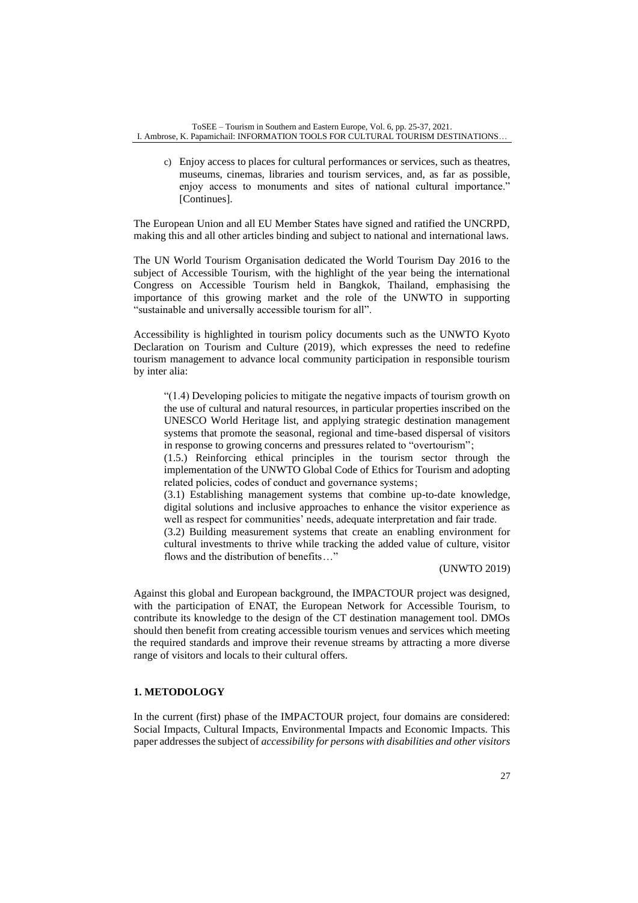c) Enjoy access to places for cultural performances or services, such as theatres, museums, cinemas, libraries and tourism services, and, as far as possible, enjoy access to monuments and sites of national cultural importance." [Continues].

The European Union and all EU Member States have signed and ratified the UNCRPD, making this and all other articles binding and subject to national and international laws.

The UN World Tourism Organisation dedicated the World Tourism Day 2016 to the subject of Accessible Tourism, with the highlight of the year being the international Congress on Accessible Tourism held in Bangkok, Thailand, emphasising the importance of this growing market and the role of the UNWTO in supporting "sustainable and universally accessible tourism for all".

Accessibility is highlighted in tourism policy documents such as the UNWTO Kyoto Declaration on Tourism and Culture (2019), which expresses the need to redefine tourism management to advance local community participation in responsible tourism by inter alia:

"(1.4) Developing policies to mitigate the negative impacts of tourism growth on the use of cultural and natural resources, in particular properties inscribed on the UNESCO World Heritage list, and applying strategic destination management systems that promote the seasonal, regional and time-based dispersal of visitors in response to growing concerns and pressures related to "overtourism" ;

(1.5.) Reinforcing ethical principles in the tourism sector through the implementation of the UNWTO Global Code of Ethics for Tourism and adopting related policies, codes of conduct and governance systems ;

(3.1) Establishing management systems that combine up-to-date knowledge, digital solutions and inclusive approaches to enhance the visitor experience as well as respect for communities' needs, adequate interpretation and fair trade.

(3.2) Building measurement systems that create an enabling environment for cultural investments to thrive while tracking the added value of culture, visitor flows and the distribution of benefits..."

(UNWTO 2019)

Against this global and European background, the IMPACTOUR project was designed, with the participation of ENAT, the European Network for Accessible Tourism, to contribute its knowledge to the design of the CT destination management tool. DMOs should then benefit from creating accessible tourism venues and services which meeting the required standards and improve their revenue streams by attracting a more diverse range of visitors and locals to their cultural offers.

# **1. METODOLOGY**

In the current (first) phase of the IMPACTOUR project, four domains are considered: Social Impacts, Cultural Impacts, Environmental Impacts and Economic Impacts. This paper addresses the subject of *accessibility for persons with disabilities and other visitors*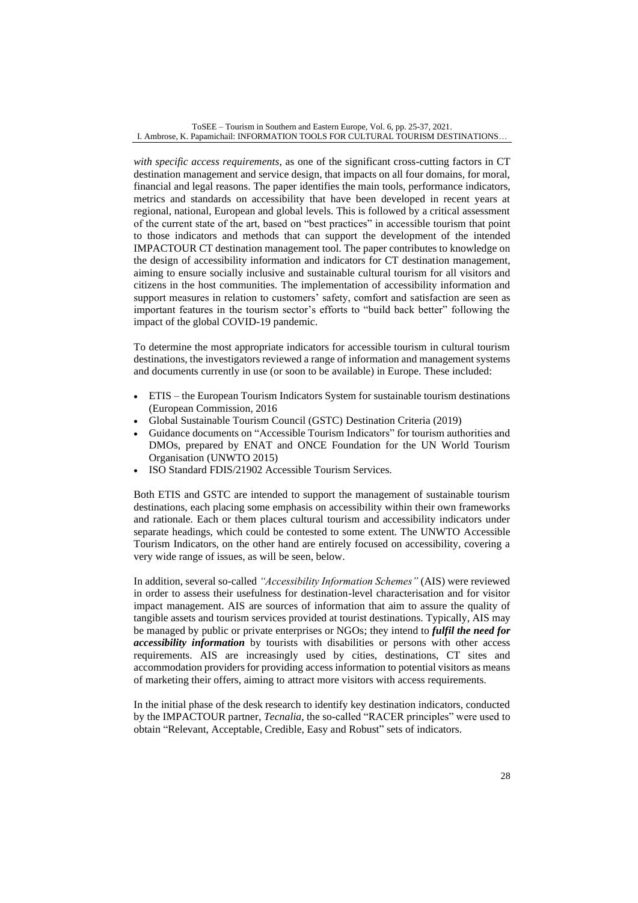*with specific access requirements,* as one of the significant cross-cutting factors in CT destination management and service design, that impacts on all four domains, for moral, financial and legal reasons. The paper identifies the main tools, performance indicators, metrics and standards on accessibility that have been developed in recent years at regional, national, European and global levels. This is followed by a critical assessment of the current state of the art, based on "best practices" in accessible tourism that point to those indicators and methods that can support the development of the intended IMPACTOUR CT destination management tool. The paper contributes to knowledge on the design of accessibility information and indicators for CT destination management, aiming to ensure socially inclusive and sustainable cultural tourism for all visitors and citizens in the host communities. The implementation of accessibility information and support measures in relation to customers' safety, comfort and satisfaction are seen as important features in the tourism sector's efforts to "build back better" following the impact of the global COVID-19 pandemic.

To determine the most appropriate indicators for accessible tourism in cultural tourism destinations, the investigators reviewed a range of information and management systems and documents currently in use (or soon to be available) in Europe. These included:

- ETIS the European Tourism Indicators System for sustainable tourism destinations (European Commission, 2016
- Global Sustainable Tourism Council (GSTC) Destination Criteria (2019)
- Guidance documents on "Accessible Tourism Indicators" for tourism authorities and DMOs, prepared by ENAT and ONCE Foundation for the UN World Tourism Organisation (UNWTO 2015)
- ISO Standard FDIS/21902 Accessible Tourism Services.

Both ETIS and GSTC are intended to support the management of sustainable tourism destinations, each placing some emphasis on accessibility within their own frameworks and rationale. Each or them places cultural tourism and accessibility indicators under separate headings, which could be contested to some extent. The UNWTO Accessible Tourism Indicators, on the other hand are entirely focused on accessibility, covering a very wide range of issues, as will be seen, below.

In addition, several so-called *"Accessibility Information Schemes"* (AIS) were reviewed in order to assess their usefulness for destination-level characterisation and for visitor impact management. AIS are sources of information that aim to assure the quality of tangible assets and tourism services provided at tourist destinations. Typically, AIS may be managed by public or private enterprises or NGOs; they intend to *fulfil the need for accessibility information* by tourists with disabilities or persons with other access requirements. AIS are increasingly used by cities, destinations, CT sites and accommodation providers for providing access information to potential visitors as means of marketing their offers, aiming to attract more visitors with access requirements.

In the initial phase of the desk research to identify key destination indicators, conducted by the IMPACTOUR partner, *Tecnalia*, the so-called "RACER principles" were used to obtain "Relevant, Acceptable, Credible, Easy and Robust" sets of indicators.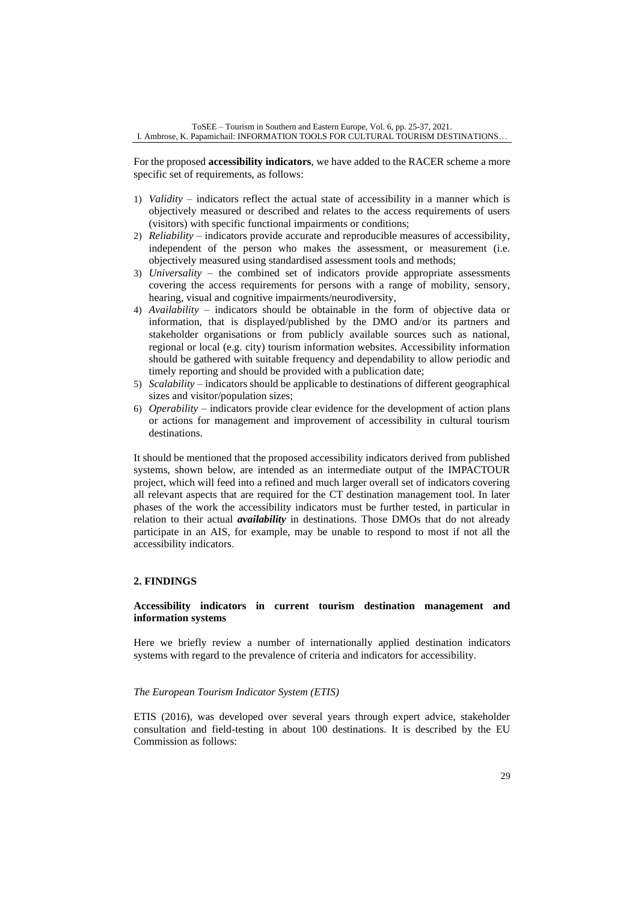For the proposed **accessibility indicators**, we have added to the RACER scheme a more specific set of requirements, as follows:

- 1) *Validity* indicators reflect the actual state of accessibility in a manner which is objectively measured or described and relates to the access requirements of users (visitors) with specific functional impairments or conditions;
- 2) *Reliability* indicators provide accurate and reproducible measures of accessibility, independent of the person who makes the assessment, or measurement (i.e. objectively measured using standardised assessment tools and methods;
- 3) *Universality* the combined set of indicators provide appropriate assessments covering the access requirements for persons with a range of mobility, sensory, hearing, visual and cognitive impairments/neurodiversity,
- 4) *Availability* indicators should be obtainable in the form of objective data or information, that is displayed/published by the DMO and/or its partners and stakeholder organisations or from publicly available sources such as national, regional or local (e.g. city) tourism information websites. Accessibility information should be gathered with suitable frequency and dependability to allow periodic and timely reporting and should be provided with a publication date;
- 5) *Scalability* indicators should be applicable to destinations of different geographical sizes and visitor/population sizes;
- 6) *Operability* indicators provide clear evidence for the development of action plans or actions for management and improvement of accessibility in cultural tourism destinations.

It should be mentioned that the proposed accessibility indicators derived from published systems, shown below, are intended as an intermediate output of the IMPACTOUR project, which will feed into a refined and much larger overall set of indicators covering all relevant aspects that are required for the CT destination management tool. In later phases of the work the accessibility indicators must be further tested, in particular in relation to their actual *availability* in destinations. Those DMOs that do not already participate in an AIS, for example, may be unable to respond to most if not all the accessibility indicators.

# **2. FINDINGS**

#### **Accessibility indicators in current tourism destination management and information systems**

Here we briefly review a number of internationally applied destination indicators systems with regard to the prevalence of criteria and indicators for accessibility.

#### *The European Tourism Indicator System (ETIS)*

ETIS (2016), was developed over several years through expert advice, stakeholder consultation and field-testing in about 100 destinations. It is described by the EU Commission as follows: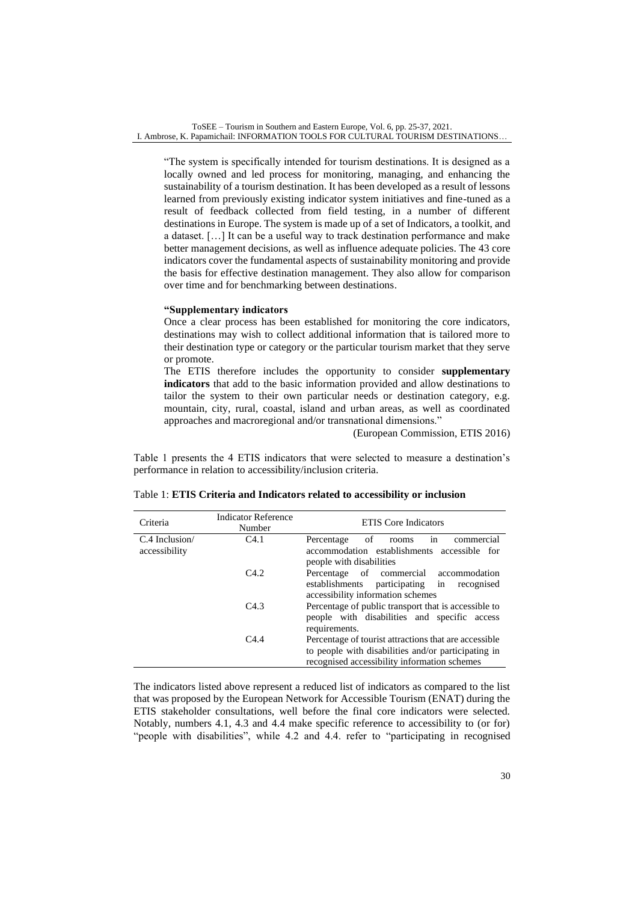"The system is specifically intended for tourism destinations. It is designed as a locally owned and led process for monitoring, managing, and enhancing the sustainability of a tourism destination. It has been developed as a result of lessons learned from previously existing indicator system initiatives and fine-tuned as a result of feedback collected from field testing, in a number of different destinations in Europe. The system is made up of a set of Indicators, a toolkit, and a dataset. […] It can be a useful way to track destination performance and make better management decisions, as well as influence adequate policies. The 43 core indicators cover the fundamental aspects of sustainability monitoring and provide the basis for effective destination management. They also allow for comparison over time and for benchmarking between destinations.

#### **"Supplementary indicators**

Once a clear process has been established for monitoring the core indicators, destinations may wish to collect additional information that is tailored more to their destination type or category or the particular tourism market that they serve or promote.

The ETIS therefore includes the opportunity to consider **supplementary indicators** that add to the basic information provided and allow destinations to tailor the system to their own particular needs or destination category, e.g. mountain, city, rural, coastal, island and urban areas, as well as coordinated approaches and macroregional and/or transnational dimensions."

(European Commission, ETIS 2016)

Table 1 presents the 4 ETIS indicators that were selected to measure a destination's performance in relation to accessibility/inclusion criteria.

| Criteria                         | <b>Indicator Reference</b><br>Number | <b>ETIS</b> Core Indicators                                                                                                                                   |
|----------------------------------|--------------------------------------|---------------------------------------------------------------------------------------------------------------------------------------------------------------|
| $C.4$ Inclusion<br>accessibility | C4.1                                 | commercial<br>of<br>Percentage<br>in<br>rooms<br>accommodation establishments accessible for<br>people with disabilities                                      |
|                                  | C4.2                                 | of commercial accommodation<br>Percentage<br>participating in<br>establishments<br>recognised<br>accessibility information schemes                            |
|                                  | C4.3                                 | Percentage of public transport that is accessible to<br>people with disabilities and specific access<br>requirements.                                         |
|                                  | C4.4                                 | Percentage of tourist attractions that are accessible.<br>to people with disabilities and/or participating in<br>recognised accessibility information schemes |

| Table 1: ETIS Criteria and Indicators related to accessibility or inclusion |  |
|-----------------------------------------------------------------------------|--|
|-----------------------------------------------------------------------------|--|

The indicators listed above represent a reduced list of indicators as compared to the list that was proposed by the European Network for Accessible Tourism (ENAT) during the ETIS stakeholder consultations, well before the final core indicators were selected. Notably, numbers 4.1, 4.3 and 4.4 make specific reference to accessibility to (or for) "people with disabilities", while 4.2 and 4.4. refer to "participating in recognised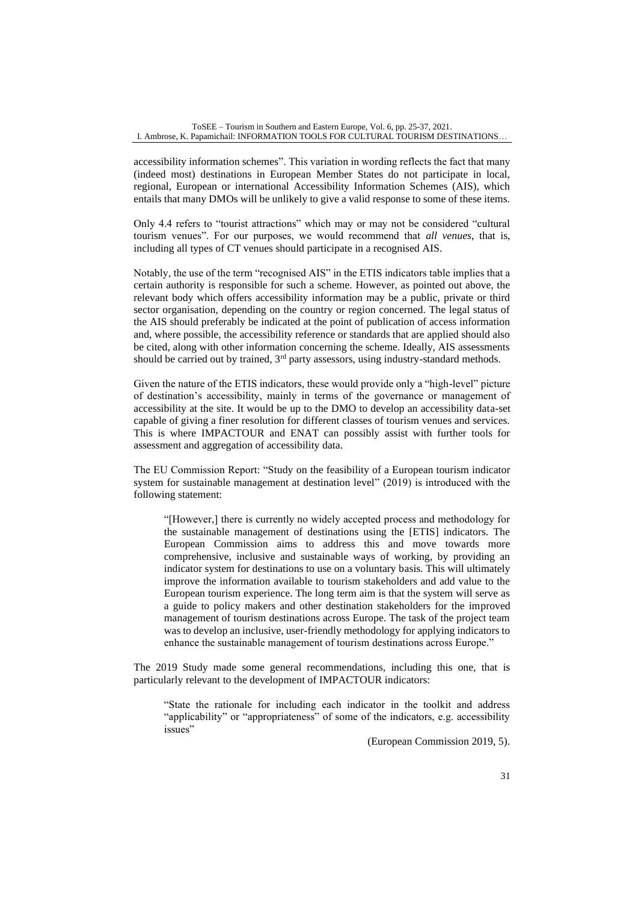accessibility information schemes". This variation in wording reflects the fact that many (indeed most) destinations in European Member States do not participate in local, regional, European or international Accessibility Information Schemes (AIS), which entails that many DMOs will be unlikely to give a valid response to some of these items.

Only 4.4 refers to "tourist attractions" which may or may not be considered "cultural tourism venues". For our purposes, we would recommend that *all venues*, that is, including all types of CT venues should participate in a recognised AIS.

Notably, the use of the term "recognised AIS" in the ETIS indicators table implies that a certain authority is responsible for such a scheme. However, as pointed out above, the relevant body which offers accessibility information may be a public, private or third sector organisation, depending on the country or region concerned. The legal status of the AIS should preferably be indicated at the point of publication of access information and, where possible, the accessibility reference or standards that are applied should also be cited, along with other information concerning the scheme. Ideally, AIS assessments should be carried out by trained, 3<sup>rd</sup> party assessors, using industry-standard methods.

Given the nature of the ETIS indicators, these would provide only a "high-level" picture of destination's accessibility, mainly in terms of the governance or management of accessibility at the site. It would be up to the DMO to develop an accessibility data-set capable of giving a finer resolution for different classes of tourism venues and services. This is where IMPACTOUR and ENAT can possibly assist with further tools for assessment and aggregation of accessibility data.

The EU Commission Report: "Study on the feasibility of a European tourism indicator system for sustainable management at destination level" (2019) is introduced with the following statement:

"[However,] there is currently no widely accepted process and methodology for the sustainable management of destinations using the [ETIS] indicators. The European Commission aims to address this and move towards more comprehensive, inclusive and sustainable ways of working, by providing an indicator system for destinations to use on a voluntary basis. This will ultimately improve the information available to tourism stakeholders and add value to the European tourism experience. The long term aim is that the system will serve as a guide to policy makers and other destination stakeholders for the improved management of tourism destinations across Europe. The task of the project team was to develop an inclusive, user-friendly methodology for applying indicators to enhance the sustainable management of tourism destinations across Europe."

The 2019 Study made some general recommendations, including this one, that is particularly relevant to the development of IMPACTOUR indicators:

"State the rationale for including each indicator in the toolkit and address "applicability" or "appropriateness" of some of the indicators, e.g. accessibility issues"

(European Commission 2019, 5).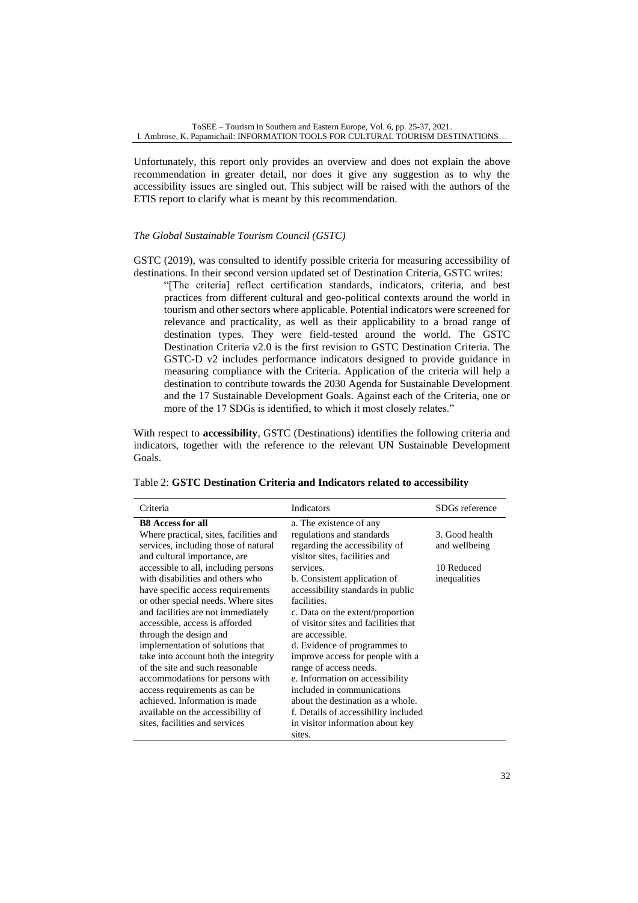Unfortunately, this report only provides an overview and does not explain the above recommendation in greater detail, nor does it give any suggestion as to why the accessibility issues are singled out. This subject will be raised with the authors of the ETIS report to clarify what is meant by this recommendation.

#### *The Global Sustainable Tourism Council (GSTC)*

GSTC (2019), was consulted to identify possible criteria for measuring accessibility of destinations. In their second version updated set of Destination Criteria, GSTC writes:

"[The criteria] reflect certification standards, indicators, criteria, and best practices from different cultural and geo-political contexts around the world in tourism and other sectors where applicable. Potential indicators were screened for relevance and practicality, as well as their applicability to a broad range of destination types. They were field-tested around the world. The GSTC Destination Criteria v2.0 is the first revision to GSTC Destination Criteria. The GSTC-D v2 includes performance indicators designed to provide guidance in measuring compliance with the Criteria. Application of the criteria will help a destination to contribute towards the 2030 Agenda for Sustainable Development and the 17 Sustainable Development Goals. Against each of the Criteria, one or more of the 17 SDGs is identified, to which it most closely relates."

With respect to **accessibility**, GSTC (Destinations) identifies the following criteria and indicators, together with the reference to the relevant UN Sustainable Development Goals.

| Criteria                               | Indicators                           | SDGs reference |
|----------------------------------------|--------------------------------------|----------------|
| <b>B8</b> Access for all               | a. The existence of any              |                |
| Where practical, sites, facilities and | regulations and standards            | 3. Good health |
| services, including those of natural   | regarding the accessibility of       | and wellbeing  |
| and cultural importance, are           | visitor sites, facilities and        |                |
| accessible to all, including persons   | services.                            | 10 Reduced     |
| with disabilities and others who       | b. Consistent application of         | inequalities   |
| have specific access requirements      | accessibility standards in public    |                |
| or other special needs. Where sites    | facilities.                          |                |
| and facilities are not immediately     | c. Data on the extent/proportion     |                |
| accessible, access is afforded         | of visitor sites and facilities that |                |
| through the design and                 | are accessible.                      |                |
| implementation of solutions that       | d. Evidence of programmes to         |                |
| take into account both the integrity   | improve access for people with a     |                |
| of the site and such reasonable        | range of access needs.               |                |
| accommodations for persons with        | e. Information on accessibility      |                |
| access requirements as can be          | included in communications           |                |
| achieved. Information is made          | about the destination as a whole.    |                |
| available on the accessibility of      | f. Details of accessibility included |                |
| sites, facilities and services         | in visitor information about key     |                |
|                                        | sites.                               |                |

#### Table 2: **GSTC Destination Criteria and Indicators related to accessibility**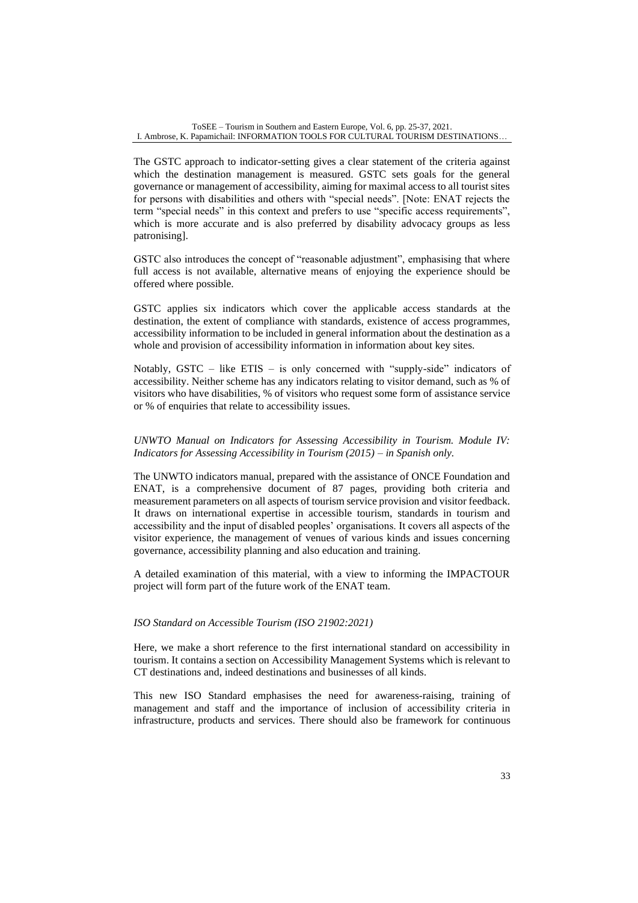The GSTC approach to indicator-setting gives a clear statement of the criteria against which the destination management is measured. GSTC sets goals for the general governance or management of accessibility, aiming for maximal access to all tourist sites for persons with disabilities and others with "special needs". [Note: ENAT rejects the term "special needs" in this context and prefers to use "specific access requirements", which is more accurate and is also preferred by disability advocacy groups as less patronising].

GSTC also introduces the concept of "reasonable adjustment", emphasising that where full access is not available, alternative means of enjoying the experience should be offered where possible.

GSTC applies six indicators which cover the applicable access standards at the destination, the extent of compliance with standards, existence of access programmes, accessibility information to be included in general information about the destination as a whole and provision of accessibility information in information about key sites.

Notably, GSTC – like ETIS – is only concerned with "supply-side" indicators of accessibility. Neither scheme has any indicators relating to visitor demand, such as % of visitors who have disabilities, % of visitors who request some form of assistance service or % of enquiries that relate to accessibility issues.

# *UNWTO Manual on Indicators for Assessing Accessibility in Tourism. Module IV: Indicators for Assessing Accessibility in Tourism (2015) – in Spanish only.*

The UNWTO indicators manual, prepared with the assistance of ONCE Foundation and ENAT, is a comprehensive document of 87 pages, providing both criteria and measurement parameters on all aspects of tourism service provision and visitor feedback. It draws on international expertise in accessible tourism, standards in tourism and accessibility and the input of disabled peoples' organisations. It covers all aspects of the visitor experience, the management of venues of various kinds and issues concerning governance, accessibility planning and also education and training.

A detailed examination of this material, with a view to informing the IMPACTOUR project will form part of the future work of the ENAT team.

# *ISO Standard on Accessible Tourism (ISO 21902:2021)*

Here, we make a short reference to the first international standard on accessibility in tourism. It contains a section on Accessibility Management Systems which is relevant to CT destinations and, indeed destinations and businesses of all kinds.

This new ISO Standard emphasises the need for awareness-raising, training of management and staff and the importance of inclusion of accessibility criteria in infrastructure, products and services. There should also be framework for continuous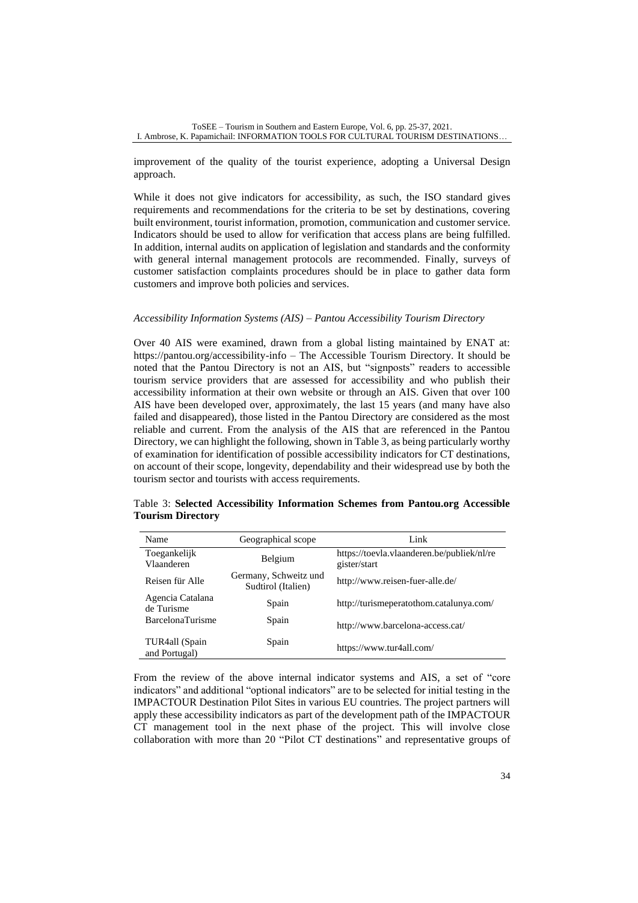improvement of the quality of the tourist experience, adopting a Universal Design approach.

While it does not give indicators for accessibility, as such, the ISO standard gives requirements and recommendations for the criteria to be set by destinations, covering built environment, tourist information, promotion, communication and customer service. Indicators should be used to allow for verification that access plans are being fulfilled. In addition, internal audits on application of legislation and standards and the conformity with general internal management protocols are recommended. Finally, surveys of customer satisfaction complaints procedures should be in place to gather data form customers and improve both policies and services.

#### *Accessibility Information Systems (AIS) – Pantou Accessibility Tourism Directory*

Over 40 AIS were examined, drawn from a global listing maintained by ENAT at: <https://pantou.org/accessibility-info> – The Accessible Tourism Directory. It should be noted that the Pantou Directory is not an AIS, but "signposts" readers to accessible tourism service providers that are assessed for accessibility and who publish their accessibility information at their own website or through an AIS. Given that over 100 AIS have been developed over, approximately, the last 15 years (and many have also failed and disappeared), those listed in the Pantou Directory are considered as the most reliable and current. From the analysis of the AIS that are referenced in the Pantou Directory, we can highlight the following, shown in Table 3, as being particularly worthy of examination for identification of possible accessibility indicators for CT destinations, on account of their scope, longevity, dependability and their widespread use by both the tourism sector and tourists with access requirements.

|                          | Table 3: Selected Accessibility Information Schemes from Pantou.org Accessible |  |  |  |
|--------------------------|--------------------------------------------------------------------------------|--|--|--|
| <b>Tourism Directory</b> |                                                                                |  |  |  |

| Name                            | Geographical scope                          | Link                                                       |
|---------------------------------|---------------------------------------------|------------------------------------------------------------|
| Toegankelijk<br>Vlaanderen      | Belgium                                     | https://toevla.vlaanderen.be/publiek/nl/re<br>gister/start |
| Reisen für Alle                 | Germany, Schweitz und<br>Sudtirol (Italien) | http://www.reisen-fuer-alle.de/                            |
| Agencia Catalana<br>de Turisme  | Spain                                       | http://turismeperatothom.catalunya.com/                    |
| <b>BarcelonaTurisme</b>         | Spain                                       | http://www.barcelona-access.cat/                           |
| TUR4all (Spain<br>and Portugal) | Spain                                       | https://www.tur4all.com/                                   |

From the review of the above internal indicator systems and AIS, a set of "core indicators" and additional "optional indicators" are to be selected for initial testing in the IMPACTOUR Destination Pilot Sites in various EU countries. The project partners will apply these accessibility indicators as part of the development path of the IMPACTOUR CT management tool in the next phase of the project. This will involve close collaboration with more than 20 "Pilot CT destinations" and representative groups of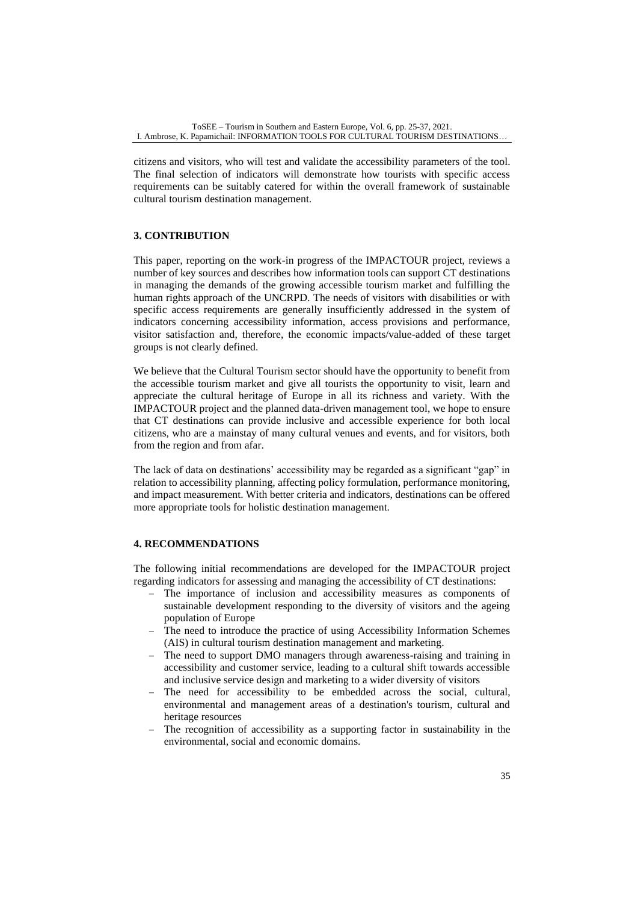citizens and visitors, who will test and validate the accessibility parameters of the tool. The final selection of indicators will demonstrate how tourists with specific access requirements can be suitably catered for within the overall framework of sustainable cultural tourism destination management.

# **3. CONTRIBUTION**

This paper, reporting on the work-in progress of the IMPACTOUR project, reviews a number of key sources and describes how information tools can support CT destinations in managing the demands of the growing accessible tourism market and fulfilling the human rights approach of the UNCRPD. The needs of visitors with disabilities or with specific access requirements are generally insufficiently addressed in the system of indicators concerning accessibility information, access provisions and performance, visitor satisfaction and, therefore, the economic impacts/value-added of these target groups is not clearly defined.

We believe that the Cultural Tourism sector should have the opportunity to benefit from the accessible tourism market and give all tourists the opportunity to visit, learn and appreciate the cultural heritage of Europe in all its richness and variety. With the IMPACTOUR project and the planned data-driven management tool, we hope to ensure that CT destinations can provide inclusive and accessible experience for both local citizens, who are a mainstay of many cultural venues and events, and for visitors, both from the region and from afar.

The lack of data on destinations' accessibility may be regarded as a significant "gap" in relation to accessibility planning, affecting policy formulation, performance monitoring, and impact measurement. With better criteria and indicators, destinations can be offered more appropriate tools for holistic destination management.

# **4. RECOMMENDATIONS**

The following initial recommendations are developed for the IMPACTOUR project regarding indicators for assessing and managing the accessibility of CT destinations:

- − The importance of inclusion and accessibility measures as components of sustainable development responding to the diversity of visitors and the ageing population of Europe
- The need to introduce the practice of using Accessibility Information Schemes (AIS) in cultural tourism destination management and marketing.
- − The need to support DMO managers through awareness-raising and training in accessibility and customer service, leading to a cultural shift towards accessible and inclusive service design and marketing to a wider diversity of visitors
- The need for accessibility to be embedded across the social, cultural, environmental and management areas of a destination's tourism, cultural and heritage resources
- The recognition of accessibility as a supporting factor in sustainability in the environmental, social and economic domains.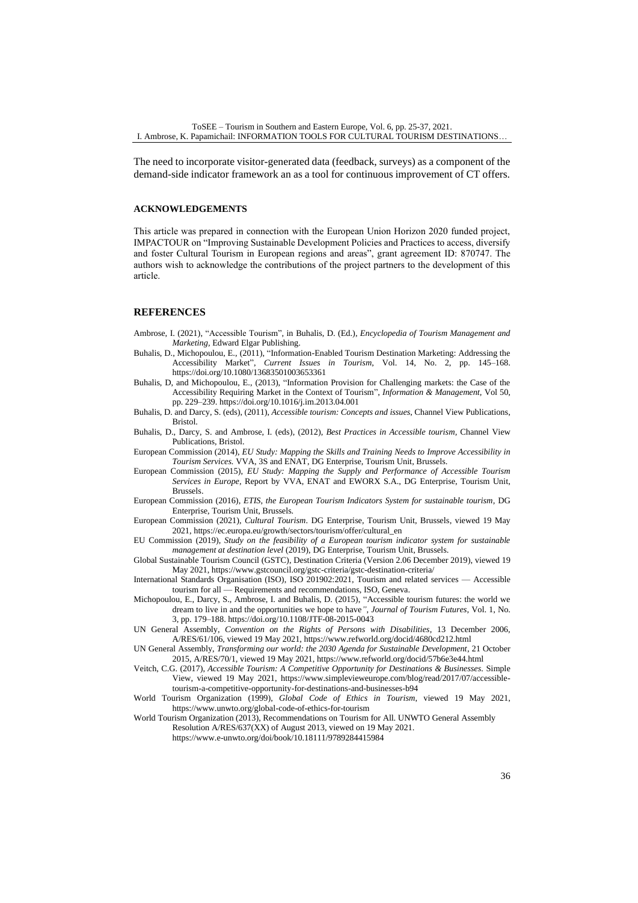The need to incorporate visitor-generated data (feedback, surveys) as a component of the demand-side indicator framework an as a tool for continuous improvement of CT offers.

#### **ACKNOWLEDGEMENTS**

This article was prepared in connection with the European Union Horizon 2020 funded project, IMPACTOUR on "Improving Sustainable Development Policies and Practices to access, diversify and foster Cultural Tourism in European regions and areas", grant agreement ID: 870747. The authors wish to acknowledge the contributions of the project partners to the development of this article.

#### **REFERENCES**

- Ambrose, I. (2021), "Accessible Tourism"*,* in Buhalis, D. (Ed.), *Encyclopedia of Tourism Management and Marketing,* Edward Elgar Publishing.
- Buhalis, D., Michopoulou, E., (2011), "Information-Enabled Tourism Destination Marketing: Addressing the Accessibility Market", *Current Issues in Tourism*, Vol. 14, No. 2, pp. 145–168. <https://doi.org/10.1080/13683501003653361>
- Buhalis, D, and Michopoulou, E., (2013), "Information Provision for Challenging markets: the Case of the Accessibility Requiring Market in the Context of Tourism", *Information & Management,* Vol 50, pp. 229–239. <https://doi.org/10.1016/j.im.2013.04.001>
- Buhalis, D. and Darcy, S. (eds), (2011), *Accessible tourism: Concepts and issues*, Channel View Publications, Bristol.
- Buhalis, D., Darcy, S. and Ambrose, I. (eds), (2012), *Best Practices in Accessible tourism,* Channel View Publications, Bristol.
- European Commission (2014), *EU Study: Mapping the Skills and Training Needs to Improve Accessibility in Tourism Services.* VVA, 3S and ENAT, DG Enterprise, Tourism Unit, Brussels.
- European Commission (2015), *EU Study: Mapping the Supply and Performance of Accessible Tourism Services in Europe,* Report by VVA, ENAT and EWORX S.A., DG Enterprise, Tourism Unit, Brussels.
- European Commission (2016), *ETIS, the European Tourism Indicators System for sustainable tourism,* DG Enterprise, Tourism Unit, Brussels.
- European Commission (2021), *Cultural Tourism*. DG Enterprise, Tourism Unit, Brussels, viewed 19 May 2021, https://ec.europa.eu/growth/sectors/tourism/offer/cultural\_en
- EU Commission (2019), *Study on the feasibility of a European tourism indicator system for sustainable management at destination level* (2019), DG Enterprise, Tourism Unit, Brussels.
- Global Sustainable Tourism Council (GSTC), Destination Criteria (Version 2.06 December 2019), viewed 19 May 2021, https://www.gstcouncil.org/gstc-criteria/gstc-destination-criteria/
- International Standards Organisation (ISO), ISO 201902:2021, Tourism and related services Accessible tourism for all — Requirements and recommendations, ISO, Geneva.
- Michopoulou, E., Darcy, S., Ambrose, I. and Buhalis, D. (2015), "Accessible tourism futures: the world we dream to live in and the opportunities we hope to have*", Journal of Tourism Futures,* Vol. 1, No. 3, pp. 179–188. <https://doi.org/10.1108/JTF-08-2015-0043>
- UN General Assembly, *Convention on the Rights of Persons with Disabilities*, 13 December 2006, A/RES/61/106, viewed 19 May 2021, https://www.refworld.org/docid/4680cd212.html
- UN General Assembly, *Transforming our world: the 2030 Agenda for Sustainable Development*, 21 October 2015, A/RES/70/1, viewed 19 May 2021, https://www.refworld.org/docid/57b6e3e44.html
- Veitch, C.G. (2017), *Accessible Tourism: A Competitive Opportunity for Destinations & Businesses.* Simple View, viewed 19 May 2021, https://www.simplevieweurope.com/blog/read/2017/07/accessibletourism-a-competitive-opportunity-for-destinations-and-businesses-b94
- World Tourism Organization (1999), *Global Code of Ethics in Tourism*, viewed 19 May 2021, https://www.unwto.org/global-code-of-ethics-for-tourism

World Tourism Organization (2013), Recommendations on Tourism for All. UNWTO General Assembly Resolution A/RES/637(XX) of August 2013, viewed on 19 May 2021.

https://www.e-unwto.org/doi/book/10.18111/9789284415984